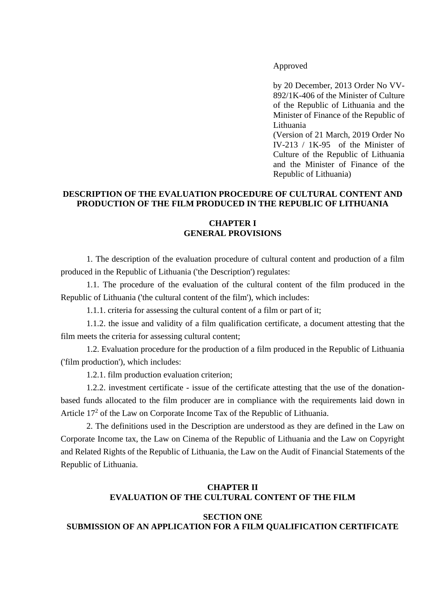Approved

by 20 December, 2013 Order No VV-892/1K-406 of the Minister of Culture of the Republic of Lithuania and the Minister of Finance of the Republic of Lithuania (Version of 21 March, 2019 Order No IV-213 / 1K-95 of the Minister of Culture of the Republic of Lithuania and the Minister of Finance of the

Republic of Lithuania)

## **DESCRIPTION OF THE EVALUATION PROCEDURE OF CULTURAL CONTENT AND PRODUCTION OF THE FILM PRODUCED IN THE REPUBLIC OF LITHUANIA**

### **CHAPTER I GENERAL PROVISIONS**

1. The description of the evaluation procedure of cultural content and production of a film produced in the Republic of Lithuania ('the Description') regulates:

1.1. The procedure of the evaluation of the cultural content of the film produced in the Republic of Lithuania ('the cultural content of the film'), which includes:

1.1.1. criteria for assessing the cultural content of a film or part of it;

1.1.2. the issue and validity of a film qualification certificate, a document attesting that the film meets the criteria for assessing cultural content;

1.2. Evaluation procedure for the production of a film produced in the Republic of Lithuania ('film production'), which includes:

1.2.1. film production evaluation criterion;

1.2.2. investment certificate - issue of the certificate attesting that the use of the donationbased funds allocated to the film producer are in compliance with the requirements laid down in Article 17<sup>2</sup> of the Law on Corporate Income Tax of the Republic of Lithuania.

2. The definitions used in the Description are understood as they are defined in the Law on Corporate Income tax, the Law on Cinema of the Republic of Lithuania and the Law on Copyright and Related Rights of the Republic of Lithuania, the Law on the Audit of Financial Statements of the Republic of Lithuania.

## **CHAPTER II EVALUATION OF THE CULTURAL CONTENT OF THE FILM**

## **SECTION ONE SUBMISSION OF AN APPLICATION FOR A FILM QUALIFICATION CERTIFICATE**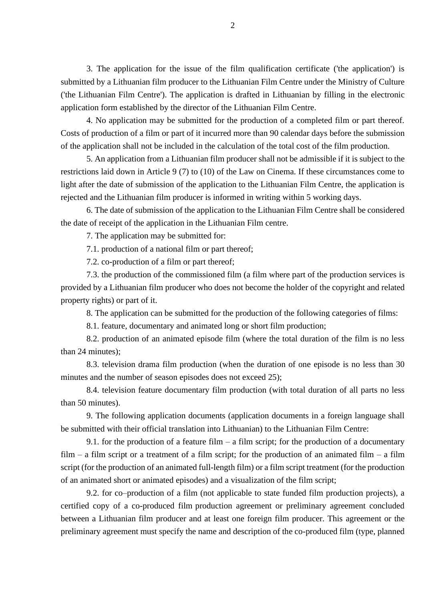3. The application for the issue of the film qualification certificate ('the application') is submitted by a Lithuanian film producer to the Lithuanian Film Centre under the Ministry of Culture ('the Lithuanian Film Centre'). The application is drafted in Lithuanian by filling in the electronic application form established by the director of the Lithuanian Film Centre.

4. No application may be submitted for the production of a completed film or part thereof. Costs of production of a film or part of it incurred more than 90 calendar days before the submission of the application shall not be included in the calculation of the total cost of the film production.

5. An application from a Lithuanian film producer shall not be admissible if it is subject to the restrictions laid down in Article 9 (7) to (10) of the Law on Cinema. If these circumstances come to light after the date of submission of the application to the Lithuanian Film Centre, the application is rejected and the Lithuanian film producer is informed in writing within 5 working days.

6. The date of submission of the application to the Lithuanian Film Centre shall be considered the date of receipt of the application in the Lithuanian Film centre.

7. The application may be submitted for:

7.1. production of a national film or part thereof;

7.2. co-production of a film or part thereof;

7.3. the production of the commissioned film (a film where part of the production services is provided by a Lithuanian film producer who does not become the holder of the copyright and related property rights) or part of it.

8. The application can be submitted for the production of the following categories of films:

8.1. feature, documentary and animated long or short film production;

8.2. production of an animated episode film (where the total duration of the film is no less than 24 minutes);

8.3. television drama film production (when the duration of one episode is no less than 30 minutes and the number of season episodes does not exceed 25);

8.4. television feature documentary film production (with total duration of all parts no less than 50 minutes).

9. The following application documents (application documents in a foreign language shall be submitted with their official translation into Lithuanian) to the Lithuanian Film Centre:

9.1. for the production of a feature film – a film script; for the production of a documentary  $film - a film script$  or a treatment of a film script; for the production of an animated film – a film script (for the production of an animated full-length film) or a film script treatment (for the production of an animated short or animated episodes) and a visualization of the film script;

9.2. for co–production of a film (not applicable to state funded film production projects), a certified copy of a co-produced film production agreement or preliminary agreement concluded between a Lithuanian film producer and at least one foreign film producer. This agreement or the preliminary agreement must specify the name and description of the co-produced film (type, planned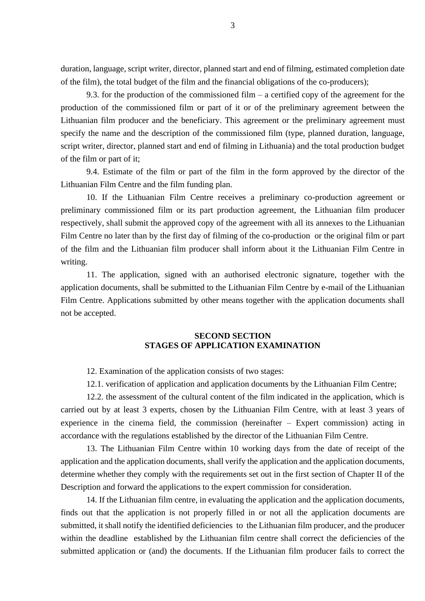duration, language, script writer, director, planned start and end of filming, estimated completion date of the film), the total budget of the film and the financial obligations of the co-producers);

9.3. for the production of the commissioned film  $-$  a certified copy of the agreement for the production of the commissioned film or part of it or of the preliminary agreement between the Lithuanian film producer and the beneficiary. This agreement or the preliminary agreement must specify the name and the description of the commissioned film (type, planned duration, language, script writer, director, planned start and end of filming in Lithuania) and the total production budget of the film or part of it;

9.4. Estimate of the film or part of the film in the form approved by the director of the Lithuanian Film Centre and the film funding plan.

10. If the Lithuanian Film Centre receives a preliminary co-production agreement or preliminary commissioned film or its part production agreement, the Lithuanian film producer respectively, shall submit the approved copy of the agreement with all its annexes to the Lithuanian Film Centre no later than by the first day of filming of the co-production or the original film or part of the film and the Lithuanian film producer shall inform about it the Lithuanian Film Centre in writing.

11. The application, signed with an authorised electronic signature, together with the application documents, shall be submitted to the Lithuanian Film Centre by e-mail of the Lithuanian Film Centre. Applications submitted by other means together with the application documents shall not be accepted.

#### **SECOND SECTION STAGES OF APPLICATION EXAMINATION**

12. Examination of the application consists of two stages:

12.1. verification of application and application documents by the Lithuanian Film Centre;

12.2. the assessment of the cultural content of the film indicated in the application, which is carried out by at least 3 experts, chosen by the Lithuanian Film Centre, with at least 3 years of experience in the cinema field, the commission (hereinafter – Expert commission) acting in accordance with the regulations established by the director of the Lithuanian Film Centre.

13. The Lithuanian Film Centre within 10 working days from the date of receipt of the application and the application documents, shall verify the application and the application documents, determine whether they comply with the requirements set out in the first section of Chapter II of the Description and forward the applications to the expert commission for consideration.

14. If the Lithuanian film centre, in evaluating the application and the application documents, finds out that the application is not properly filled in or not all the application documents are submitted, it shall notify the identified deficiencies to the Lithuanian film producer, and the producer within the deadline established by the Lithuanian film centre shall correct the deficiencies of the submitted application or (and) the documents. If the Lithuanian film producer fails to correct the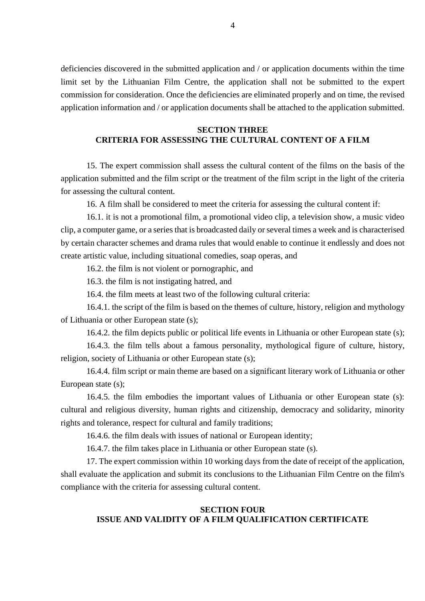deficiencies discovered in the submitted application and / or application documents within the time limit set by the Lithuanian Film Centre, the application shall not be submitted to the expert commission for consideration. Once the deficiencies are eliminated properly and on time, the revised application information and / or application documents shall be attached to the application submitted.

#### **SECTION THREE**

# **CRITERIA FOR ASSESSING THE CULTURAL CONTENT OF A FILM**

15. The expert commission shall assess the cultural content of the films on the basis of the application submitted and the film script or the treatment of the film script in the light of the criteria for assessing the cultural content.

16. A film shall be considered to meet the criteria for assessing the cultural content if:

16.1. it is not a promotional film, a promotional video clip, a television show, a music video clip, a computer game, or a series that is broadcasted daily or several times a week and is characterised by certain character schemes and drama rules that would enable to continue it endlessly and does not create artistic value, including situational comedies, soap operas, and

16.2. the film is not violent or pornographic, and

16.3. the film is not instigating hatred, and

16.4. the film meets at least two of the following cultural criteria:

16.4.1. the script of the film is based on the themes of culture, history, religion and mythology of Lithuania or other European state (s);

16.4.2. the film depicts public or political life events in Lithuania or other European state (s);

16.4.3. the film tells about a famous personality, mythological figure of culture, history, religion, society of Lithuania or other European state (s);

16.4.4. film script or main theme are based on a significant literary work of Lithuania or other European state (s);

16.4.5. the film embodies the important values of Lithuania or other European state (s): cultural and religious diversity, human rights and citizenship, democracy and solidarity, minority rights and tolerance, respect for cultural and family traditions;

16.4.6. the film deals with issues of national or European identity;

16.4.7. the film takes place in Lithuania or other European state (s).

17. The expert commission within 10 working days from the date of receipt of the application, shall evaluate the application and submit its conclusions to the Lithuanian Film Centre on the film's compliance with the criteria for assessing cultural content.

## **SECTION FOUR ISSUE AND VALIDITY OF A FILM QUALIFICATION CERTIFICATE**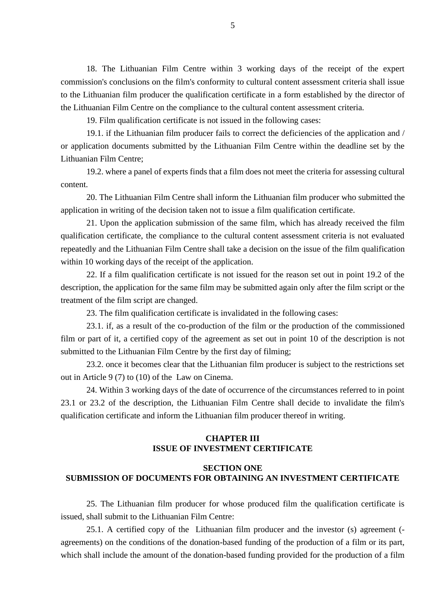18. The Lithuanian Film Centre within 3 working days of the receipt of the expert commission's conclusions on the film's conformity to cultural content assessment criteria shall issue to the Lithuanian film producer the qualification certificate in a form established by the director of the Lithuanian Film Centre on the compliance to the cultural content assessment criteria.

19. Film qualification certificate is not issued in the following cases:

19.1. if the Lithuanian film producer fails to correct the deficiencies of the application and / or application documents submitted by the Lithuanian Film Centre within the deadline set by the Lithuanian Film Centre;

19.2. where a panel of experts finds that a film does not meet the criteria for assessing cultural content.

20. The Lithuanian Film Centre shall inform the Lithuanian film producer who submitted the application in writing of the decision taken not to issue a film qualification certificate.

21. Upon the application submission of the same film, which has already received the film qualification certificate, the compliance to the cultural content assessment criteria is not evaluated repeatedly and the Lithuanian Film Centre shall take a decision on the issue of the film qualification within 10 working days of the receipt of the application.

22. If a film qualification certificate is not issued for the reason set out in point 19.2 of the description, the application for the same film may be submitted again only after the film script or the treatment of the film script are changed.

23. The film qualification certificate is invalidated in the following cases:

23.1. if, as a result of the co-production of the film or the production of the commissioned film or part of it, a certified copy of the agreement as set out in point 10 of the description is not submitted to the Lithuanian Film Centre by the first day of filming;

23.2. once it becomes clear that the Lithuanian film producer is subject to the restrictions set out in Article 9 (7) to (10) of the Law on Cinema.

24. Within 3 working days of the date of occurrence of the circumstances referred to in point 23.1 or 23.2 of the description, the Lithuanian Film Centre shall decide to invalidate the film's qualification certificate and inform the Lithuanian film producer thereof in writing.

## **CHAPTER III ISSUE OF INVESTMENT CERTIFICATE**

## **SECTION ONE SUBMISSION OF DOCUMENTS FOR OBTAINING AN INVESTMENT CERTIFICATE**

25. The Lithuanian film producer for whose produced film the qualification certificate is issued, shall submit to the Lithuanian Film Centre:

25.1. A certified copy of the Lithuanian film producer and the investor (s) agreement ( agreements) on the conditions of the donation-based funding of the production of a film or its part, which shall include the amount of the donation-based funding provided for the production of a film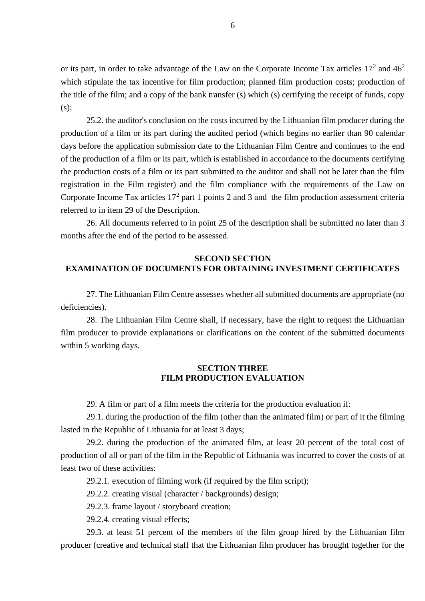or its part, in order to take advantage of the Law on the Corporate Income Tax articles  $17<sup>2</sup>$  and  $46<sup>2</sup>$ which stipulate the tax incentive for film production; planned film production costs; production of the title of the film; and a copy of the bank transfer (s) which (s) certifying the receipt of funds, copy  $(s)$ :

25.2. the auditor's conclusion on the costs incurred by the Lithuanian film producer during the production of a film or its part during the audited period (which begins no earlier than 90 calendar days before the application submission date to the Lithuanian Film Centre and continues to the end of the production of a film or its part, which is established in accordance to the documents certifying the production costs of a film or its part submitted to the auditor and shall not be later than the film registration in the Film register) and the film compliance with the requirements of the Law on Corporate Income Tax articles  $17<sup>2</sup>$  part 1 points 2 and 3 and the film production assessment criteria referred to in item 29 of the Description.

26. All documents referred to in point 25 of the description shall be submitted no later than 3 months after the end of the period to be assessed.

## **SECOND SECTION EXAMINATION OF DOCUMENTS FOR OBTAINING INVESTMENT CERTIFICATES**

27. The Lithuanian Film Centre assesses whether all submitted documents are appropriate (no deficiencies).

28. The Lithuanian Film Centre shall, if necessary, have the right to request the Lithuanian film producer to provide explanations or clarifications on the content of the submitted documents within 5 working days.

## **SECTION THREE FILM PRODUCTION EVALUATION**

29. A film or part of a film meets the criteria for the production evaluation if:

29.1. during the production of the film (other than the animated film) or part of it the filming lasted in the Republic of Lithuania for at least 3 days;

29.2. during the production of the animated film, at least 20 percent of the total cost of production of all or part of the film in the Republic of Lithuania was incurred to cover the costs of at least two of these activities:

29.2.1. execution of filming work (if required by the film script);

29.2.2. creating visual (character / backgrounds) design;

29.2.3. frame layout / storyboard creation;

29.2.4. creating visual effects;

29.3. at least 51 percent of the members of the film group hired by the Lithuanian film producer (creative and technical staff that the Lithuanian film producer has brought together for the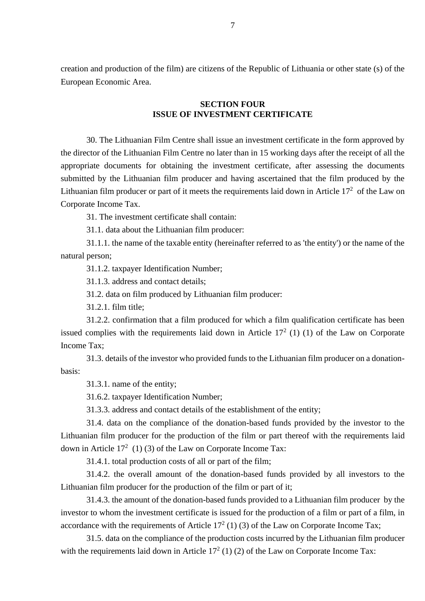creation and production of the film) are citizens of the Republic of Lithuania or other state (s) of the European Economic Area.

#### **SECTION FOUR ISSUE OF INVESTMENT CERTIFICATE**

30. The Lithuanian Film Centre shall issue an investment certificate in the form approved by the director of the Lithuanian Film Centre no later than in 15 working days after the receipt of all the appropriate documents for obtaining the investment certificate, after assessing the documents submitted by the Lithuanian film producer and having ascertained that the film produced by the Lithuanian film producer or part of it meets the requirements laid down in Article  $17<sup>2</sup>$  of the Law on Corporate Income Tax.

31. The investment certificate shall contain:

31.1. data about the Lithuanian film producer:

31.1.1. the name of the taxable entity (hereinafter referred to as 'the entity') or the name of the natural person;

31.1.2. taxpayer Identification Number;

31.1.3. address and contact details;

31.2. data on film produced by Lithuanian film producer:

31.2.1. film title;

31.2.2. confirmation that a film produced for which a film qualification certificate has been issued complies with the requirements laid down in Article  $17<sup>2</sup>$  (1) (1) of the Law on Corporate Income Tax;

31.3. details of the investor who provided funds to the Lithuanian film producer on a donationbasis:

31.3.1. name of the entity;

31.6.2. taxpayer Identification Number;

31.3.3. address and contact details of the establishment of the entity;

31.4. data on the compliance of the donation-based funds provided by the investor to the Lithuanian film producer for the production of the film or part thereof with the requirements laid down in Article  $17^2$  (1) (3) of the Law on Corporate Income Tax:

31.4.1. total production costs of all or part of the film;

31.4.2. the overall amount of the donation-based funds provided by all investors to the Lithuanian film producer for the production of the film or part of it;

31.4.3. the amount of the donation-based funds provided to a Lithuanian film producer by the investor to whom the investment certificate is issued for the production of a film or part of a film, in accordance with the requirements of Article  $17<sup>2</sup>$  (1) (3) of the Law on Corporate Income Tax;

31.5. data on the compliance of the production costs incurred by the Lithuanian film producer with the requirements laid down in Article  $17<sup>2</sup>$  (1) (2) of the Law on Corporate Income Tax: